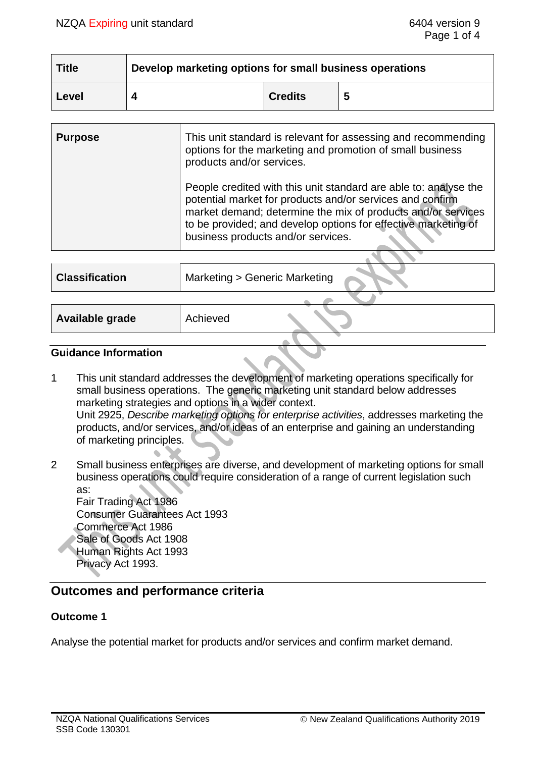| <b>Title</b> | Develop marketing options for small business operations |                |   |
|--------------|---------------------------------------------------------|----------------|---|
| Level        |                                                         | <b>Credits</b> | 5 |

| <b>Purpose</b> | This unit standard is relevant for assessing and recommending<br>options for the marketing and promotion of small business<br>products and/or services.                                                                                                                                               |
|----------------|-------------------------------------------------------------------------------------------------------------------------------------------------------------------------------------------------------------------------------------------------------------------------------------------------------|
|                | People credited with this unit standard are able to: analyse the<br>potential market for products and/or services and confirm<br>market demand; determine the mix of products and/or services<br>to be provided; and develop options for effective marketing of<br>business products and/or services. |
|                |                                                                                                                                                                                                                                                                                                       |

| <b>Classification</b> | Marketing > Generic Marketing |
|-----------------------|-------------------------------|
|                       |                               |
| Available grade       | Achieved                      |

#### **Guidance Information**

1 This unit standard addresses the development of marketing operations specifically for small business operations. The generic marketing unit standard below addresses marketing strategies and options in a wider context. Unit 2925, *Describe marketing options for enterprise activities*, addresses marketing the products, and/or services, and/or ideas of an enterprise and gaining an understanding of marketing principles.

2 Small business enterprises are diverse, and development of marketing options for small business operations could require consideration of a range of current legislation such as: Fair Trading Act 1986 Consumer Guarantees Act 1993 Commerce Act 1986 Sale of Goods Act 1908 Human Rights Act 1993 Privacy Act 1993.

### **Outcomes and performance criteria**

#### **Outcome 1**

Analyse the potential market for products and/or services and confirm market demand.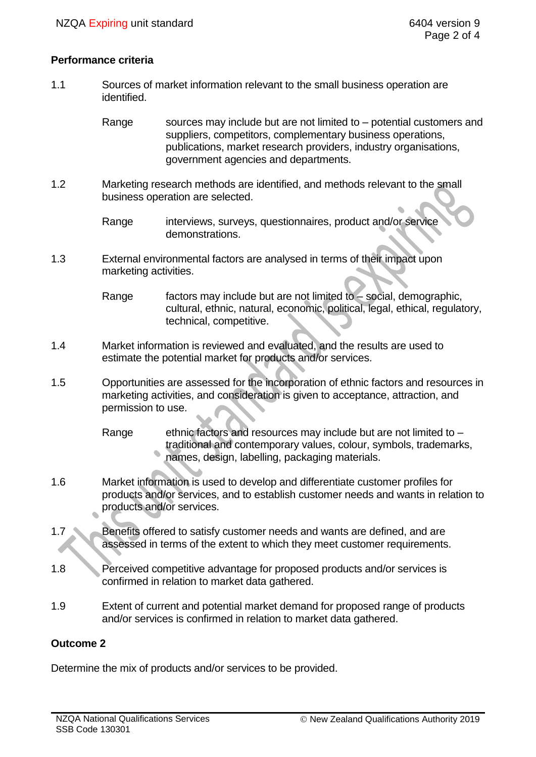#### **Performance criteria**

1.1 Sources of market information relevant to the small business operation are identified.

> Range sources may include but are not limited to – potential customers and suppliers, competitors, complementary business operations, publications, market research providers, industry organisations, government agencies and departments.

1.2 Marketing research methods are identified, and methods relevant to the small business operation are selected.

1.3 External environmental factors are analysed in terms of their impact upon marketing activities.

> Range factors may include but are not limited to – social, demographic, cultural, ethnic, natural, economic, political, legal, ethical, regulatory, technical, competitive.

- 1.4 Market information is reviewed and evaluated, and the results are used to estimate the potential market for products and/or services.
- 1.5 Opportunities are assessed for the incorporation of ethnic factors and resources in marketing activities, and consideration is given to acceptance, attraction, and permission to use.
	- Range ethnic factors and resources may include but are not limited to  $$ traditional and contemporary values, colour, symbols, trademarks, names, design, labelling, packaging materials.
- 1.6 Market information is used to develop and differentiate customer profiles for products and/or services, and to establish customer needs and wants in relation to products and/or services.
- 1.7 Benefits offered to satisfy customer needs and wants are defined, and are assessed in terms of the extent to which they meet customer requirements.
- 1.8 Perceived competitive advantage for proposed products and/or services is confirmed in relation to market data gathered.
- 1.9 Extent of current and potential market demand for proposed range of products and/or services is confirmed in relation to market data gathered.

#### **Outcome 2**

Determine the mix of products and/or services to be provided.

Range interviews, surveys, questionnaires, product and/or service demonstrations.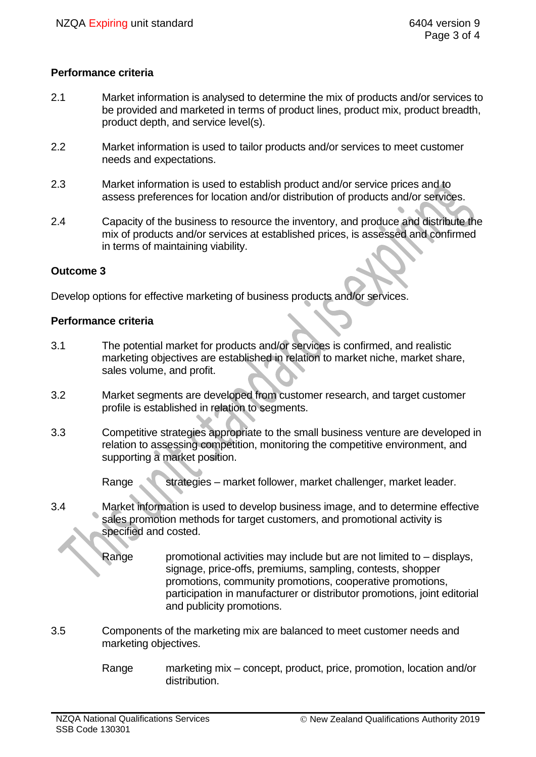### **Performance criteria**

- 2.1 Market information is analysed to determine the mix of products and/or services to be provided and marketed in terms of product lines, product mix, product breadth, product depth, and service level(s).
- 2.2 Market information is used to tailor products and/or services to meet customer needs and expectations.
- 2.3 Market information is used to establish product and/or service prices and to assess preferences for location and/or distribution of products and/or services.
- 2.4 Capacity of the business to resource the inventory, and produce and distribute the mix of products and/or services at established prices, is assessed and confirmed in terms of maintaining viability.

#### **Outcome 3**

Develop options for effective marketing of business products and/or services.

#### **Performance criteria**

- 3.1 The potential market for products and/or services is confirmed, and realistic marketing objectives are established in relation to market niche, market share, sales volume, and profit.
- 3.2 Market segments are developed from customer research, and target customer profile is established in relation to segments.
- 3.3 Competitive strategies appropriate to the small business venture are developed in relation to assessing competition, monitoring the competitive environment, and supporting a market position.

Range strategies – market follower, market challenger, market leader.

- 3.4 Market information is used to develop business image, and to determine effective sales promotion methods for target customers, and promotional activity is specified and costed.
	- Range promotional activities may include but are not limited to displays, signage, price-offs, premiums, sampling, contests, shopper promotions, community promotions, cooperative promotions, participation in manufacturer or distributor promotions, joint editorial and publicity promotions.
- 3.5 Components of the marketing mix are balanced to meet customer needs and marketing objectives.
	- Range marketing mix concept, product, price, promotion, location and/or distribution.